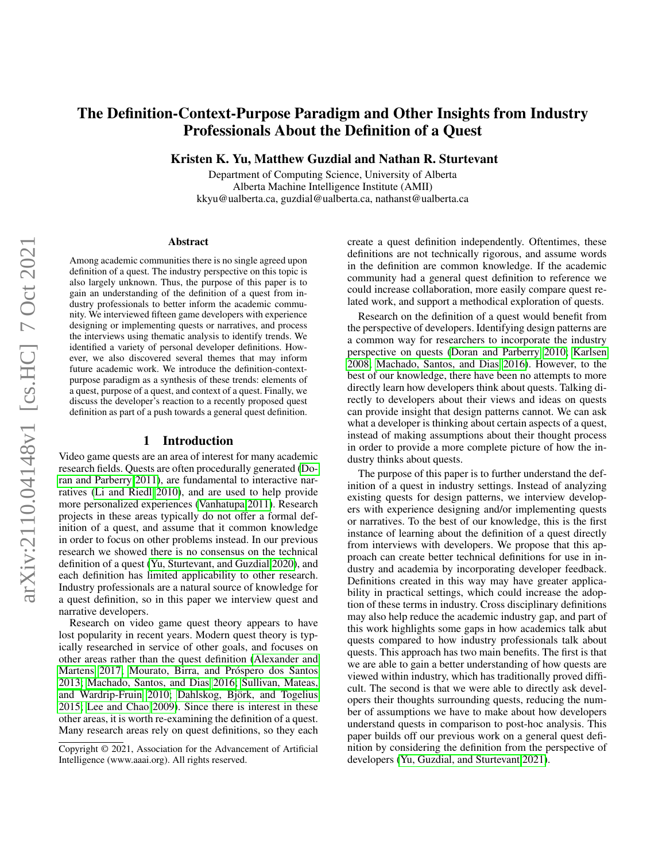# The Definition-Context-Purpose Paradigm and Other Insights from Industry Professionals About the Definition of a Quest

Kristen K. Yu, Matthew Guzdial and Nathan R. Sturtevant

Department of Computing Science, University of Alberta Alberta Machine Intelligence Institute (AMII) kkyu@ualberta.ca, guzdial@ualberta.ca, nathanst@ualberta.ca

#### Abstract

Among academic communities there is no single agreed upon definition of a quest. The industry perspective on this topic is also largely unknown. Thus, the purpose of this paper is to gain an understanding of the definition of a quest from industry professionals to better inform the academic community. We interviewed fifteen game developers with experience designing or implementing quests or narratives, and process the interviews using thematic analysis to identify trends. We identified a variety of personal developer definitions. However, we also discovered several themes that may inform future academic work. We introduce the definition-contextpurpose paradigm as a synthesis of these trends: elements of a quest, purpose of a quest, and context of a quest. Finally, we discuss the developer's reaction to a recently proposed quest definition as part of a push towards a general quest definition.

#### 1 Introduction

Video game quests are an area of interest for many academic research fields. Quests are often procedurally generated [\(Do](#page-7-0)[ran and Parberry 2011\)](#page-7-0), are fundamental to interactive narratives [\(Li and Riedl 2010\)](#page-7-1), and are used to help provide more personalized experiences [\(Vanhatupa 2011\)](#page-7-2). Research projects in these areas typically do not offer a formal definition of a quest, and assume that it common knowledge in order to focus on other problems instead. In our previous research we showed there is no consensus on the technical definition of a quest [\(Yu, Sturtevant, and Guzdial 2020\)](#page-7-3), and each definition has limited applicability to other research. Industry professionals are a natural source of knowledge for a quest definition, so in this paper we interview quest and narrative developers.

Research on video game quest theory appears to have lost popularity in recent years. Modern quest theory is typically researched in service of other goals, and focuses on other areas rather than the quest definition [\(Alexander and](#page-7-4) [Martens 2017;](#page-7-4) Mourato, Birra, and Próspero dos Santos [2013;](#page-7-5) [Machado, Santos, and Dias 2016;](#page-7-6) [Sullivan, Mateas,](#page-7-7) [and Wardrip-Fruin 2010;](#page-7-7) Dahlskog, Björk, and Togelius [2015;](#page-7-8) [Lee and Chao 2009\)](#page-7-9). Since there is interest in these other areas, it is worth re-examining the definition of a quest. Many research areas rely on quest definitions, so they each create a quest definition independently. Oftentimes, these definitions are not technically rigorous, and assume words in the definition are common knowledge. If the academic community had a general quest definition to reference we could increase collaboration, more easily compare quest related work, and support a methodical exploration of quests.

Research on the definition of a quest would benefit from the perspective of developers. Identifying design patterns are a common way for researchers to incorporate the industry perspective on quests [\(Doran and Parberry 2010;](#page-7-10) [Karlsen](#page-7-11) [2008;](#page-7-11) [Machado, Santos, and Dias 2016\)](#page-7-6). However, to the best of our knowledge, there have been no attempts to more directly learn how developers think about quests. Talking directly to developers about their views and ideas on quests can provide insight that design patterns cannot. We can ask what a developer is thinking about certain aspects of a quest, instead of making assumptions about their thought process in order to provide a more complete picture of how the industry thinks about quests.

The purpose of this paper is to further understand the definition of a quest in industry settings. Instead of analyzing existing quests for design patterns, we interview developers with experience designing and/or implementing quests or narratives. To the best of our knowledge, this is the first instance of learning about the definition of a quest directly from interviews with developers. We propose that this approach can create better technical definitions for use in industry and academia by incorporating developer feedback. Definitions created in this way may have greater applicability in practical settings, which could increase the adoption of these terms in industry. Cross disciplinary definitions may also help reduce the academic industry gap, and part of this work highlights some gaps in how academics talk abut quests compared to how industry professionals talk about quests. This approach has two main benefits. The first is that we are able to gain a better understanding of how quests are viewed within industry, which has traditionally proved difficult. The second is that we were able to directly ask developers their thoughts surrounding quests, reducing the number of assumptions we have to make about how developers understand quests in comparison to post-hoc analysis. This paper builds off our previous work on a general quest definition by considering the definition from the perspective of developers [\(Yu, Guzdial, and Sturtevant 2021\)](#page-7-12).

Copyright © 2021, Association for the Advancement of Artificial Intelligence (www.aaai.org). All rights reserved.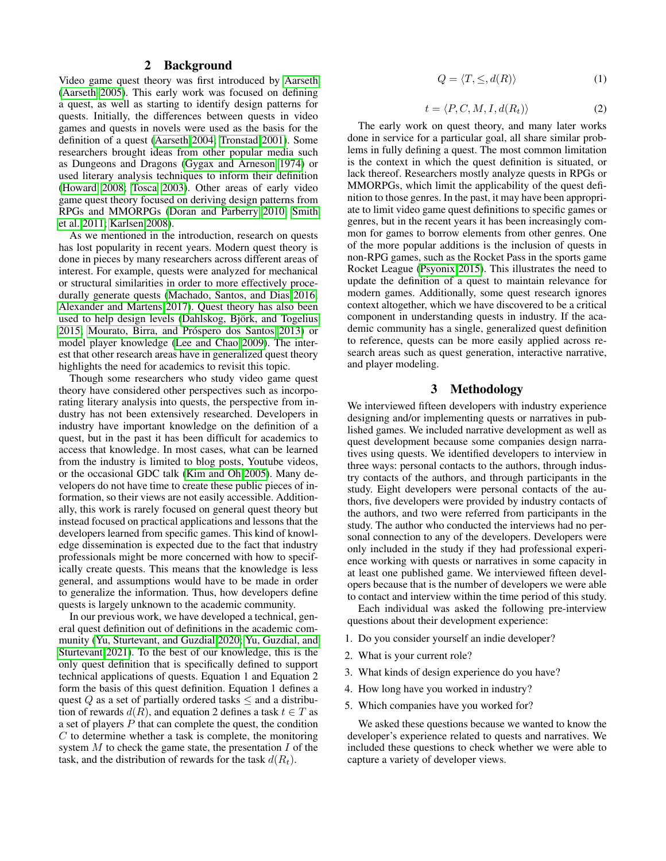# 2 Background

Video game quest theory was first introduced by [Aarseth](#page-7-13) [\(Aarseth 2005\)](#page-7-13). This early work was focused on defining a quest, as well as starting to identify design patterns for quests. Initially, the differences between quests in video games and quests in novels were used as the basis for the definition of a quest [\(Aarseth 2004;](#page-7-14) [Tronstad 2001\)](#page-7-15). Some researchers brought ideas from other popular media such as Dungeons and Dragons [\(Gygax and Arneson 1974\)](#page-7-16) or used literary analysis techniques to inform their definition [\(Howard 2008;](#page-7-17) [Tosca 2003\)](#page-7-18). Other areas of early video game quest theory focused on deriving design patterns from RPGs and MMORPGs [\(Doran and Parberry 2010;](#page-7-10) [Smith](#page-7-19) [et al. 2011;](#page-7-19) [Karlsen 2008\)](#page-7-11).

As we mentioned in the introduction, research on quests has lost popularity in recent years. Modern quest theory is done in pieces by many researchers across different areas of interest. For example, quests were analyzed for mechanical or structural similarities in order to more effectively procedurally generate quests [\(Machado, Santos, and Dias 2016;](#page-7-6) [Alexander and Martens 2017\)](#page-7-4). Quest theory has also been used to help design levels (Dahlskog, Björk, and Togelius [2015;](#page-7-8) Mourato, Birra, and Próspero dos Santos 2013) or model player knowledge [\(Lee and Chao 2009\)](#page-7-9). The interest that other research areas have in generalized quest theory highlights the need for academics to revisit this topic.

Though some researchers who study video game quest theory have considered other perspectives such as incorporating literary analysis into quests, the perspective from industry has not been extensively researched. Developers in industry have important knowledge on the definition of a quest, but in the past it has been difficult for academics to access that knowledge. In most cases, what can be learned from the industry is limited to blog posts, Youtube videos, or the occasional GDC talk [\(Kim and Oh 2005\)](#page-7-20). Many developers do not have time to create these public pieces of information, so their views are not easily accessible. Additionally, this work is rarely focused on general quest theory but instead focused on practical applications and lessons that the developers learned from specific games. This kind of knowledge dissemination is expected due to the fact that industry professionals might be more concerned with how to specifically create quests. This means that the knowledge is less general, and assumptions would have to be made in order to generalize the information. Thus, how developers define quests is largely unknown to the academic community.

In our previous work, we have developed a technical, general quest definition out of definitions in the academic community [\(Yu, Sturtevant, and Guzdial 2020;](#page-7-3) [Yu, Guzdial, and](#page-7-12) [Sturtevant 2021\)](#page-7-12). To the best of our knowledge, this is the only quest definition that is specifically defined to support technical applications of quests. Equation 1 and Equation 2 form the basis of this quest definition. Equation 1 defines a quest Q as a set of partially ordered tasks  $\leq$  and a distribution of rewards  $d(R)$ , and equation 2 defines a task  $t \in T$  as a set of players  $P$  that can complete the quest, the condition  $C$  to determine whether a task is complete, the monitoring system  $M$  to check the game state, the presentation  $I$  of the task, and the distribution of rewards for the task  $d(R_t)$ .

$$
Q = \langle T, \le, d(R) \rangle \tag{1}
$$

$$
t = \langle P, C, M, I, d(R_t) \rangle \tag{2}
$$

The early work on quest theory, and many later works done in service for a particular goal, all share similar problems in fully defining a quest. The most common limitation is the context in which the quest definition is situated, or lack thereof. Researchers mostly analyze quests in RPGs or MMORPGs, which limit the applicability of the quest definition to those genres. In the past, it may have been appropriate to limit video game quest definitions to specific games or genres, but in the recent years it has been increasingly common for games to borrow elements from other genres. One of the more popular additions is the inclusion of quests in non-RPG games, such as the Rocket Pass in the sports game Rocket League [\(Psyonix 2015\)](#page-7-21). This illustrates the need to update the definition of a quest to maintain relevance for modern games. Additionally, some quest research ignores context altogether, which we have discovered to be a critical component in understanding quests in industry. If the academic community has a single, generalized quest definition to reference, quests can be more easily applied across research areas such as quest generation, interactive narrative, and player modeling.

#### 3 Methodology

We interviewed fifteen developers with industry experience designing and/or implementing quests or narratives in published games. We included narrative development as well as quest development because some companies design narratives using quests. We identified developers to interview in three ways: personal contacts to the authors, through industry contacts of the authors, and through participants in the study. Eight developers were personal contacts of the authors, five developers were provided by industry contacts of the authors, and two were referred from participants in the study. The author who conducted the interviews had no personal connection to any of the developers. Developers were only included in the study if they had professional experience working with quests or narratives in some capacity in at least one published game. We interviewed fifteen developers because that is the number of developers we were able to contact and interview within the time period of this study.

Each individual was asked the following pre-interview questions about their development experience:

- 1. Do you consider yourself an indie developer?
- 2. What is your current role?
- 3. What kinds of design experience do you have?
- 4. How long have you worked in industry?
- 5. Which companies have you worked for?

We asked these questions because we wanted to know the developer's experience related to quests and narratives. We included these questions to check whether we were able to capture a variety of developer views.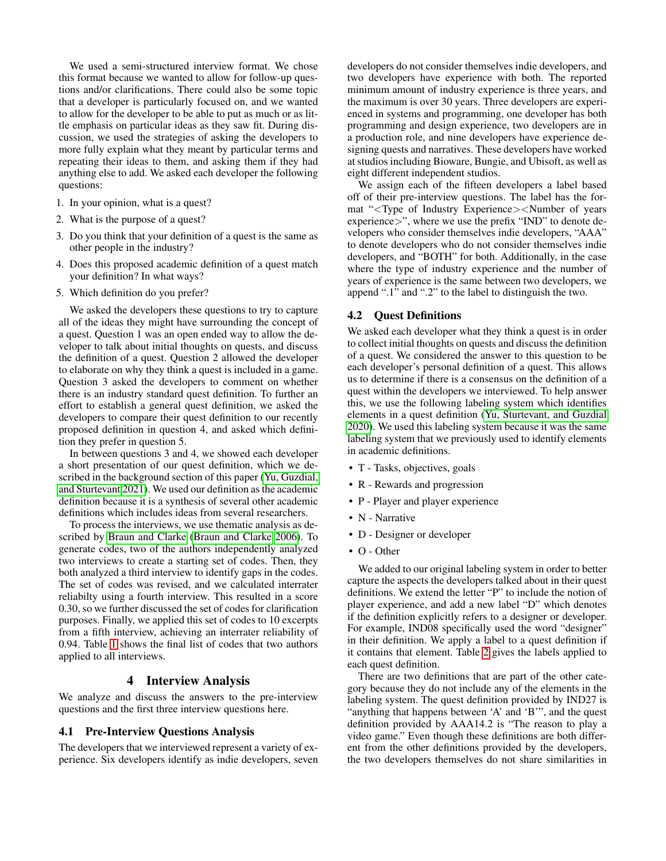We used a semi-structured interview format. We chose this format because we wanted to allow for follow-up questions and/or clarifications. There could also be some topic that a developer is particularly focused on, and we wanted to allow for the developer to be able to put as much or as little emphasis on particular ideas as they saw fit. During discussion, we used the strategies of asking the developers to more fully explain what they meant by particular terms and repeating their ideas to them, and asking them if they had anything else to add. We asked each developer the following questions:

- 1. In your opinion, what is a quest?
- 2. What is the purpose of a quest?
- 3. Do you think that your definition of a quest is the same as other people in the industry?
- 4. Does this proposed academic definition of a quest match your definition? In what ways?
- 5. Which definition do you prefer?

We asked the developers these questions to try to capture all of the ideas they might have surrounding the concept of a quest. Question 1 was an open ended way to allow the developer to talk about initial thoughts on quests, and discuss the definition of a quest. Question 2 allowed the developer to elaborate on why they think a quest is included in a game. Question 3 asked the developers to comment on whether there is an industry standard quest definition. To further an effort to establish a general quest definition, we asked the developers to compare their quest definition to our recently proposed definition in question 4, and asked which definition they prefer in question 5.

In between questions 3 and 4, we showed each developer a short presentation of our quest definition, which we described in the background section of this paper [\(Yu, Guzdial,](#page-7-12) [and Sturtevant 2021\)](#page-7-12). We used our definition as the academic definition because it is a synthesis of several other academic definitions which includes ideas from several researchers.

To process the interviews, we use thematic analysis as described by [Braun and Clarke](#page-7-22) [\(Braun and Clarke 2006\)](#page-7-22). To generate codes, two of the authors independently analyzed two interviews to create a starting set of codes. Then, they both analyzed a third interview to identify gaps in the codes. The set of codes was revised, and we calculated interrater reliabilty using a fourth interview. This resulted in a score 0.30, so we further discussed the set of codes for clarification purposes. Finally, we applied this set of codes to 10 excerpts from a fifth interview, achieving an interrater reliability of 0.94. Table [1](#page-3-0) shows the final list of codes that two authors applied to all interviews.

## 4 Interview Analysis

We analyze and discuss the answers to the pre-interview questions and the first three interview questions here.

#### 4.1 Pre-Interview Questions Analysis

The developers that we interviewed represent a variety of experience. Six developers identify as indie developers, seven

developers do not consider themselves indie developers, and two developers have experience with both. The reported minimum amount of industry experience is three years, and the maximum is over 30 years. Three developers are experienced in systems and programming, one developer has both programming and design experience, two developers are in a production role, and nine developers have experience designing quests and narratives. These developers have worked at studios including Bioware, Bungie, and Ubisoft, as well as eight different independent studios.

We assign each of the fifteen developers a label based off of their pre-interview questions. The label has the format "<Type of Industry Experience><Number of years experience>", where we use the prefix "IND" to denote developers who consider themselves indie developers, "AAA" to denote developers who do not consider themselves indie developers, and "BOTH" for both. Additionally, in the case where the type of industry experience and the number of years of experience is the same between two developers, we append ".1" and ".2" to the label to distinguish the two.

### 4.2 Quest Definitions

We asked each developer what they think a quest is in order to collect initial thoughts on quests and discuss the definition of a quest. We considered the answer to this question to be each developer's personal definition of a quest. This allows us to determine if there is a consensus on the definition of a quest within the developers we interviewed. To help answer this, we use the following labeling system which identifies elements in a quest definition [\(Yu, Sturtevant, and Guzdial](#page-7-3) [2020\)](#page-7-3). We used this labeling system because it was the same labeling system that we previously used to identify elements in academic definitions.

- T Tasks, objectives, goals
- R Rewards and progression
- P Player and player experience
- N Narrative
- D Designer or developer
- O Other

We added to our original labeling system in order to better capture the aspects the developers talked about in their quest definitions. We extend the letter "P" to include the notion of player experience, and add a new label "D" which denotes if the definition explicitly refers to a designer or developer. For example, IND08 specifically used the word "designer" in their definition. We apply a label to a quest definition if it contains that element. Table [2](#page-3-1) gives the labels applied to each quest definition.

There are two definitions that are part of the other category because they do not include any of the elements in the labeling system. The quest definition provided by IND27 is "anything that happens between 'A' and 'B'", and the quest definition provided by AAA14.2 is "The reason to play a video game." Even though these definitions are both different from the other definitions provided by the developers, the two developers themselves do not share similarities in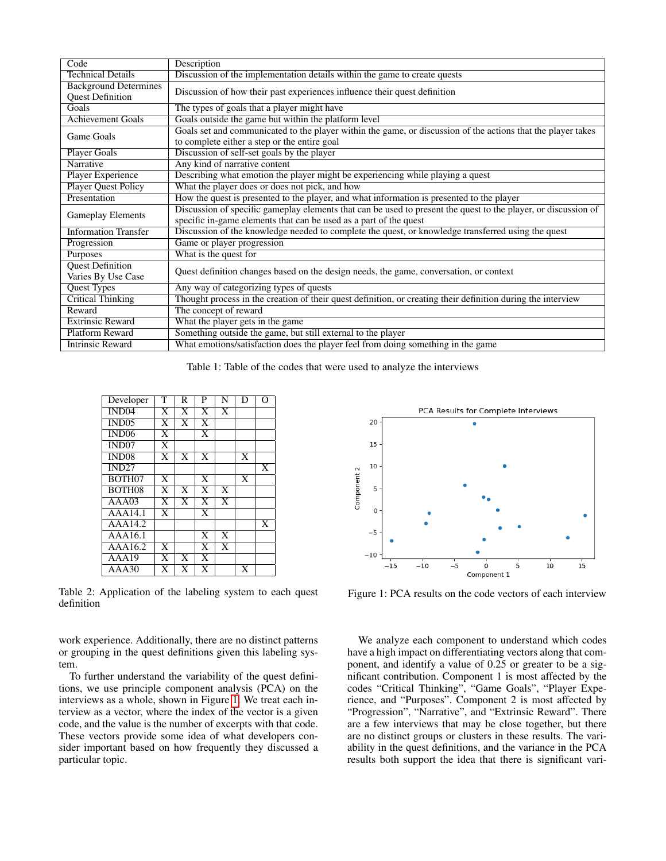<span id="page-3-0"></span>

| Code                                                    | Description                                                                                                                                                                         |  |  |  |
|---------------------------------------------------------|-------------------------------------------------------------------------------------------------------------------------------------------------------------------------------------|--|--|--|
| <b>Technical Details</b>                                | Discussion of the implementation details within the game to create quests                                                                                                           |  |  |  |
| <b>Background Determines</b><br><b>Quest Definition</b> | Discussion of how their past experiences influence their quest definition                                                                                                           |  |  |  |
| Goals                                                   | The types of goals that a player might have                                                                                                                                         |  |  |  |
| <b>Achievement Goals</b>                                | Goals outside the game but within the platform level                                                                                                                                |  |  |  |
| Game Goals                                              | Goals set and communicated to the player within the game, or discussion of the actions that the player takes<br>to complete either a step or the entire goal                        |  |  |  |
| Player Goals                                            | Discussion of self-set goals by the player                                                                                                                                          |  |  |  |
| Narrative                                               | Any kind of narrative content                                                                                                                                                       |  |  |  |
| Player Experience                                       | Describing what emotion the player might be experiencing while playing a quest                                                                                                      |  |  |  |
| <b>Player Quest Policy</b>                              | What the player does or does not pick, and how                                                                                                                                      |  |  |  |
| Presentation                                            | How the quest is presented to the player, and what information is presented to the player                                                                                           |  |  |  |
| <b>Gameplay Elements</b>                                | Discussion of specific gameplay elements that can be used to present the quest to the player, or discussion of<br>specific in-game elements that can be used as a part of the quest |  |  |  |
| <b>Information Transfer</b>                             | Discussion of the knowledge needed to complete the quest, or knowledge transferred using the quest                                                                                  |  |  |  |
| Progression                                             | Game or player progression                                                                                                                                                          |  |  |  |
| Purposes                                                | What is the quest for                                                                                                                                                               |  |  |  |
| <b>Quest Definition</b><br>Varies By Use Case           | Quest definition changes based on the design needs, the game, conversation, or context                                                                                              |  |  |  |
| <b>Quest Types</b>                                      | Any way of categorizing types of quests                                                                                                                                             |  |  |  |
| Critical Thinking                                       | Thought process in the creation of their quest definition, or creating their definition during the interview                                                                        |  |  |  |
| Reward                                                  | The concept of reward                                                                                                                                                               |  |  |  |
| <b>Extrinsic Reward</b>                                 | What the player gets in the game                                                                                                                                                    |  |  |  |
| Platform Reward                                         | Something outside the game, but still external to the player                                                                                                                        |  |  |  |
| Intrinsic Reward                                        | What emotions/satisfaction does the player feel from doing something in the game                                                                                                    |  |  |  |

Table 1: Table of the codes that were used to analyze the interviews

<span id="page-3-1"></span>

| Developer                       | T                       | R                       | $\overline{P}$          | N                       | D                       | O              |
|---------------------------------|-------------------------|-------------------------|-------------------------|-------------------------|-------------------------|----------------|
| IND <sub>04</sub>               | X                       | X                       | X                       | $\overline{X}$          |                         |                |
| IND05                           | $\overline{\text{X}}$   | $\overline{\text{X}}$   | $\overline{\text{X}}$   |                         |                         |                |
| IND <sub>06</sub>               | $\overline{X}$          |                         | $\overline{X}$          |                         |                         |                |
| IND <sub>07</sub>               | $\overline{\text{X}}$   |                         |                         |                         |                         |                |
| IND <sub>08</sub>               | $\overline{\mathbf{X}}$ | $\overline{\mathbf{X}}$ | $\overline{\mathbf{x}}$ |                         | $\overline{\mathrm{X}}$ |                |
| IND <sub>27</sub>               |                         |                         |                         |                         |                         | X              |
| BOTH <sub>07</sub>              | $\overline{\text{X}}$   |                         | $\overline{\text{X}}$   |                         | $\overline{\mathrm{X}}$ |                |
| BOTH <sub>08</sub>              | $\overline{\text{X}}$   | $\overline{\text{X}}$   | $\overline{\text{X}}$   | $\overline{X}$          |                         |                |
| AAA03                           | $\overline{\text{X}}$   | $\overline{\mathbf{X}}$ | $\overline{\text{X}}$   | $\overline{\mathbf{X}}$ |                         |                |
| $\overline{A}\overline{A}$ 14.1 | $\overline{X}$          |                         | $\overline{\mathbf{X}}$ |                         |                         |                |
| AA44.2                          |                         |                         |                         |                         |                         | $\overline{X}$ |
| AAA16.1                         |                         |                         | $\overline{\text{X}}$   | $\overline{\mathbf{x}}$ |                         |                |
| $\overline{A}\overline{A}$ 16.2 | $\overline{X}$          |                         | $\overline{X}$          | $\overline{\mathbf{x}}$ |                         |                |
| AAA19                           | X                       | X                       | X                       |                         |                         |                |
| AAA30                           | X                       | $\overline{\text{X}}$   | X                       |                         | $\overline{\text{X}}$   |                |

Table 2: Application of the labeling system to each quest definition

work experience. Additionally, there are no distinct patterns or grouping in the quest definitions given this labeling system.

To further understand the variability of the quest definitions, we use principle component analysis (PCA) on the interviews as a whole, shown in Figure [1.](#page-3-2) We treat each interview as a vector, where the index of the vector is a given code, and the value is the number of excerpts with that code. These vectors provide some idea of what developers consider important based on how frequently they discussed a particular topic.

<span id="page-3-2"></span>

Figure 1: PCA results on the code vectors of each interview

We analyze each component to understand which codes have a high impact on differentiating vectors along that component, and identify a value of 0.25 or greater to be a significant contribution. Component 1 is most affected by the codes "Critical Thinking", "Game Goals", "Player Experience, and "Purposes". Component 2 is most affected by "Progression", "Narrative", and "Extrinsic Reward". There are a few interviews that may be close together, but there are no distinct groups or clusters in these results. The variability in the quest definitions, and the variance in the PCA results both support the idea that there is significant vari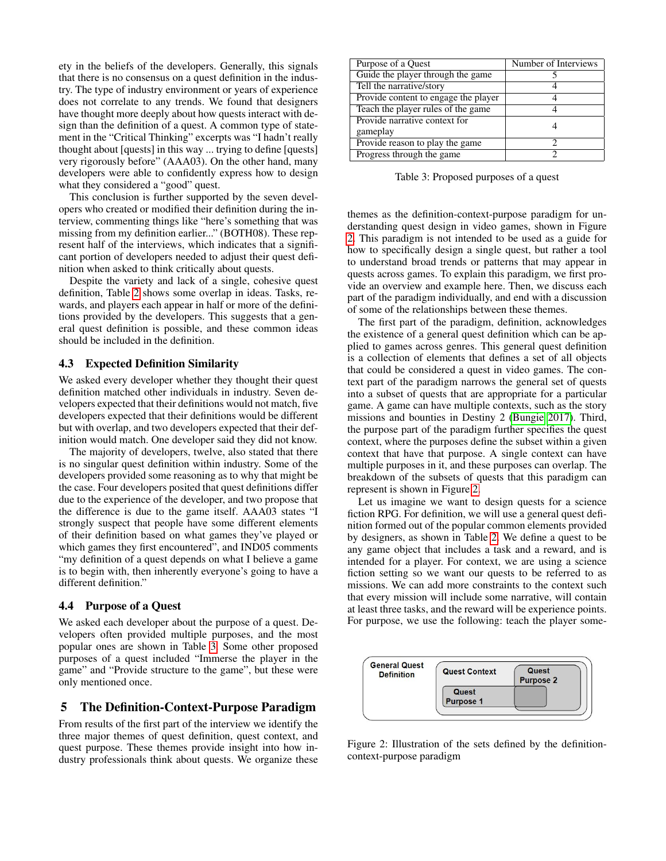ety in the beliefs of the developers. Generally, this signals that there is no consensus on a quest definition in the industry. The type of industry environment or years of experience does not correlate to any trends. We found that designers have thought more deeply about how quests interact with design than the definition of a quest. A common type of statement in the "Critical Thinking" excerpts was "I hadn't really thought about [quests] in this way ... trying to define [quests] very rigorously before" (AAA03). On the other hand, many developers were able to confidently express how to design what they considered a "good" quest.

This conclusion is further supported by the seven developers who created or modified their definition during the interview, commenting things like "here's something that was missing from my definition earlier..." (BOTH08). These represent half of the interviews, which indicates that a significant portion of developers needed to adjust their quest definition when asked to think critically about quests.

Despite the variety and lack of a single, cohesive quest definition, Table [2](#page-3-1) shows some overlap in ideas. Tasks, rewards, and players each appear in half or more of the definitions provided by the developers. This suggests that a general quest definition is possible, and these common ideas should be included in the definition.

### 4.3 Expected Definition Similarity

We asked every developer whether they thought their quest definition matched other individuals in industry. Seven developers expected that their definitions would not match, five developers expected that their definitions would be different but with overlap, and two developers expected that their definition would match. One developer said they did not know.

The majority of developers, twelve, also stated that there is no singular quest definition within industry. Some of the developers provided some reasoning as to why that might be the case. Four developers posited that quest definitions differ due to the experience of the developer, and two propose that the difference is due to the game itself. AAA03 states "I strongly suspect that people have some different elements of their definition based on what games they've played or which games they first encountered", and IND05 comments "my definition of a quest depends on what I believe a game is to begin with, then inherently everyone's going to have a different definition."

### 4.4 Purpose of a Quest

We asked each developer about the purpose of a quest. Developers often provided multiple purposes, and the most popular ones are shown in Table [3.](#page-4-0) Some other proposed purposes of a quest included "Immerse the player in the game" and "Provide structure to the game", but these were only mentioned once.

## 5 The Definition-Context-Purpose Paradigm

From results of the first part of the interview we identify the three major themes of quest definition, quest context, and quest purpose. These themes provide insight into how industry professionals think about quests. We organize these

<span id="page-4-0"></span>

| Purpose of a Quest                        | Number of Interviews |  |  |
|-------------------------------------------|----------------------|--|--|
| Guide the player through the game         |                      |  |  |
| Tell the narrative/story                  |                      |  |  |
| Provide content to engage the player      |                      |  |  |
| Teach the player rules of the game        |                      |  |  |
| Provide narrative context for<br>gameplay |                      |  |  |
| Provide reason to play the game           | 2                    |  |  |
| Progress through the game                 |                      |  |  |

Table 3: Proposed purposes of a quest

themes as the definition-context-purpose paradigm for understanding quest design in video games, shown in Figure [2.](#page-4-1) This paradigm is not intended to be used as a guide for how to specifically design a single quest, but rather a tool to understand broad trends or patterns that may appear in quests across games. To explain this paradigm, we first provide an overview and example here. Then, we discuss each part of the paradigm individually, and end with a discussion of some of the relationships between these themes.

The first part of the paradigm, definition, acknowledges the existence of a general quest definition which can be applied to games across genres. This general quest definition is a collection of elements that defines a set of all objects that could be considered a quest in video games. The context part of the paradigm narrows the general set of quests into a subset of quests that are appropriate for a particular game. A game can have multiple contexts, such as the story missions and bounties in Destiny 2 [\(Bungie 2017\)](#page-7-23). Third, the purpose part of the paradigm further specifies the quest context, where the purposes define the subset within a given context that have that purpose. A single context can have multiple purposes in it, and these purposes can overlap. The breakdown of the subsets of quests that this paradigm can represent is shown in Figure [2.](#page-4-1)

Let us imagine we want to design quests for a science fiction RPG. For definition, we will use a general quest definition formed out of the popular common elements provided by designers, as shown in Table [2.](#page-3-1) We define a quest to be any game object that includes a task and a reward, and is intended for a player. For context, we are using a science fiction setting so we want our quests to be referred to as missions. We can add more constraints to the context such that every mission will include some narrative, will contain at least three tasks, and the reward will be experience points. For purpose, we use the following: teach the player some-

<span id="page-4-1"></span>

Figure 2: Illustration of the sets defined by the definitioncontext-purpose paradigm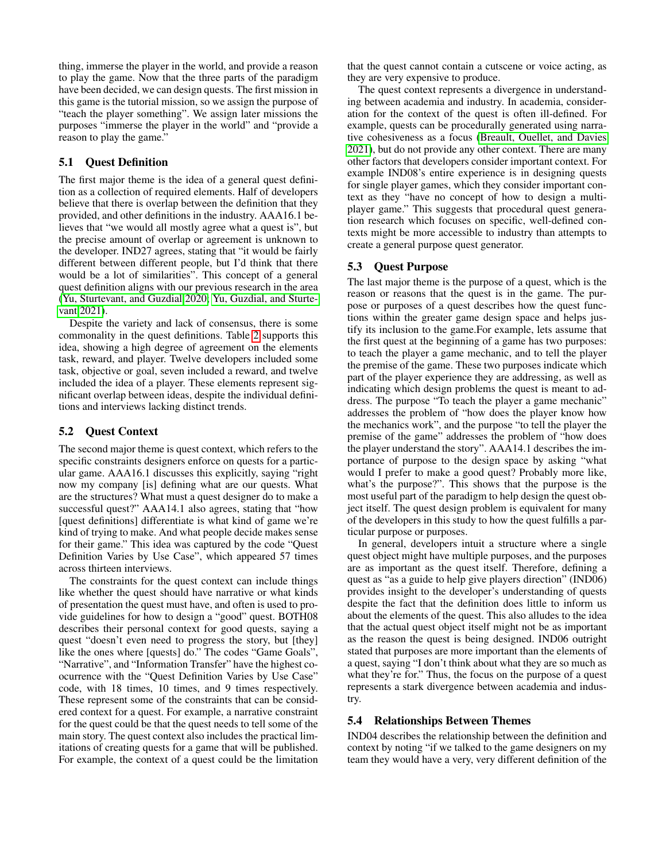thing, immerse the player in the world, and provide a reason to play the game. Now that the three parts of the paradigm have been decided, we can design quests. The first mission in this game is the tutorial mission, so we assign the purpose of "teach the player something". We assign later missions the purposes "immerse the player in the world" and "provide a reason to play the game."

# 5.1 Quest Definition

The first major theme is the idea of a general quest definition as a collection of required elements. Half of developers believe that there is overlap between the definition that they provided, and other definitions in the industry. AAA16.1 believes that "we would all mostly agree what a quest is", but the precise amount of overlap or agreement is unknown to the developer. IND27 agrees, stating that "it would be fairly different between different people, but I'd think that there would be a lot of similarities". This concept of a general quest definition aligns with our previous research in the area [\(Yu, Sturtevant, and Guzdial 2020;](#page-7-3) [Yu, Guzdial, and Sturte](#page-7-12)[vant 2021\)](#page-7-12).

Despite the variety and lack of consensus, there is some commonality in the quest definitions. Table [2](#page-3-1) supports this idea, showing a high degree of agreement on the elements task, reward, and player. Twelve developers included some task, objective or goal, seven included a reward, and twelve included the idea of a player. These elements represent significant overlap between ideas, despite the individual definitions and interviews lacking distinct trends.

# 5.2 Quest Context

The second major theme is quest context, which refers to the specific constraints designers enforce on quests for a particular game. AAA16.1 discusses this explicitly, saying "right now my company [is] defining what are our quests. What are the structures? What must a quest designer do to make a successful quest?" AAA14.1 also agrees, stating that "how [quest definitions] differentiate is what kind of game we're kind of trying to make. And what people decide makes sense for their game." This idea was captured by the code "Quest Definition Varies by Use Case", which appeared 57 times across thirteen interviews.

The constraints for the quest context can include things like whether the quest should have narrative or what kinds of presentation the quest must have, and often is used to provide guidelines for how to design a "good" quest. BOTH08 describes their personal context for good quests, saying a quest "doesn't even need to progress the story, but [they] like the ones where [quests] do." The codes "Game Goals", "Narrative", and "Information Transfer" have the highest coocurrence with the "Quest Definition Varies by Use Case" code, with 18 times, 10 times, and 9 times respectively. These represent some of the constraints that can be considered context for a quest. For example, a narrative constraint for the quest could be that the quest needs to tell some of the main story. The quest context also includes the practical limitations of creating quests for a game that will be published. For example, the context of a quest could be the limitation

that the quest cannot contain a cutscene or voice acting, as they are very expensive to produce.

The quest context represents a divergence in understanding between academia and industry. In academia, consideration for the context of the quest is often ill-defined. For example, quests can be procedurally generated using narrative cohesiveness as a focus [\(Breault, Ouellet, and Davies](#page-7-24) [2021\)](#page-7-24), but do not provide any other context. There are many other factors that developers consider important context. For example IND08's entire experience is in designing quests for single player games, which they consider important context as they "have no concept of how to design a multiplayer game." This suggests that procedural quest generation research which focuses on specific, well-defined contexts might be more accessible to industry than attempts to create a general purpose quest generator.

## 5.3 Quest Purpose

The last major theme is the purpose of a quest, which is the reason or reasons that the quest is in the game. The purpose or purposes of a quest describes how the quest functions within the greater game design space and helps justify its inclusion to the game.For example, lets assume that the first quest at the beginning of a game has two purposes: to teach the player a game mechanic, and to tell the player the premise of the game. These two purposes indicate which part of the player experience they are addressing, as well as indicating which design problems the quest is meant to address. The purpose "To teach the player a game mechanic" addresses the problem of "how does the player know how the mechanics work", and the purpose "to tell the player the premise of the game" addresses the problem of "how does the player understand the story". AAA14.1 describes the importance of purpose to the design space by asking "what would I prefer to make a good quest? Probably more like, what's the purpose?". This shows that the purpose is the most useful part of the paradigm to help design the quest object itself. The quest design problem is equivalent for many of the developers in this study to how the quest fulfills a particular purpose or purposes.

In general, developers intuit a structure where a single quest object might have multiple purposes, and the purposes are as important as the quest itself. Therefore, defining a quest as "as a guide to help give players direction" (IND06) provides insight to the developer's understanding of quests despite the fact that the definition does little to inform us about the elements of the quest. This also alludes to the idea that the actual quest object itself might not be as important as the reason the quest is being designed. IND06 outright stated that purposes are more important than the elements of a quest, saying "I don't think about what they are so much as what they're for." Thus, the focus on the purpose of a quest represents a stark divergence between academia and industry.

#### 5.4 Relationships Between Themes

IND04 describes the relationship between the definition and context by noting "if we talked to the game designers on my team they would have a very, very different definition of the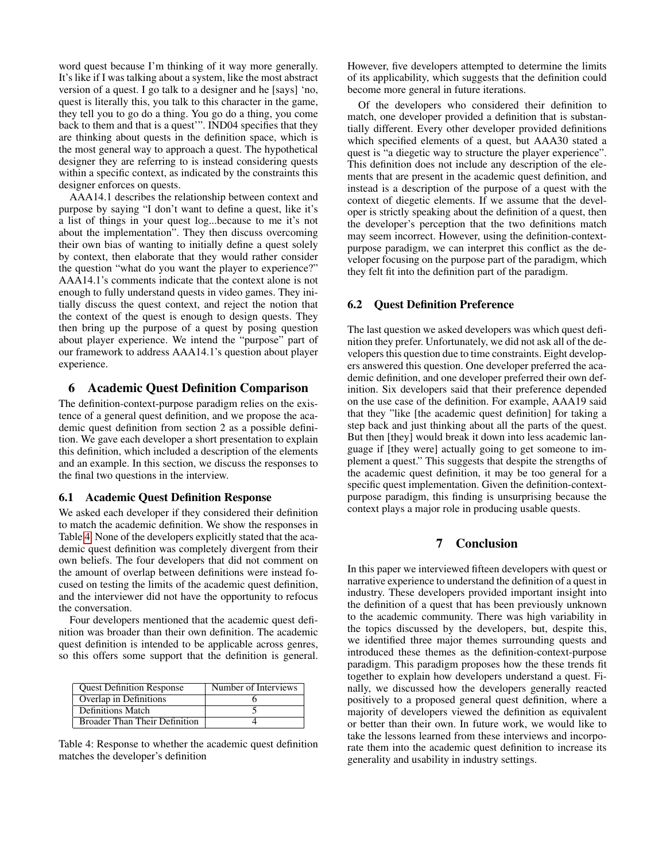word quest because I'm thinking of it way more generally. It's like if I was talking about a system, like the most abstract version of a quest. I go talk to a designer and he [says] 'no, quest is literally this, you talk to this character in the game, they tell you to go do a thing. You go do a thing, you come back to them and that is a quest'". IND04 specifies that they are thinking about quests in the definition space, which is the most general way to approach a quest. The hypothetical designer they are referring to is instead considering quests within a specific context, as indicated by the constraints this designer enforces on quests.

AAA14.1 describes the relationship between context and purpose by saying "I don't want to define a quest, like it's a list of things in your quest log...because to me it's not about the implementation". They then discuss overcoming their own bias of wanting to initially define a quest solely by context, then elaborate that they would rather consider the question "what do you want the player to experience?" AAA14.1's comments indicate that the context alone is not enough to fully understand quests in video games. They initially discuss the quest context, and reject the notion that the context of the quest is enough to design quests. They then bring up the purpose of a quest by posing question about player experience. We intend the "purpose" part of our framework to address AAA14.1's question about player experience.

# 6 Academic Quest Definition Comparison

The definition-context-purpose paradigm relies on the existence of a general quest definition, and we propose the academic quest definition from section 2 as a possible definition. We gave each developer a short presentation to explain this definition, which included a description of the elements and an example. In this section, we discuss the responses to the final two questions in the interview.

#### 6.1 Academic Quest Definition Response

We asked each developer if they considered their definition to match the academic definition. We show the responses in Table [4.](#page-6-0) None of the developers explicitly stated that the academic quest definition was completely divergent from their own beliefs. The four developers that did not comment on the amount of overlap between definitions were instead focused on testing the limits of the academic quest definition, and the interviewer did not have the opportunity to refocus the conversation.

Four developers mentioned that the academic quest definition was broader than their own definition. The academic quest definition is intended to be applicable across genres, so this offers some support that the definition is general.

<span id="page-6-0"></span>

| <b>Quest Definition Response</b>     | Number of Interviews |  |  |  |
|--------------------------------------|----------------------|--|--|--|
| Overlap in Definitions               |                      |  |  |  |
| Definitions Match                    |                      |  |  |  |
| <b>Broader Than Their Definition</b> |                      |  |  |  |

Table 4: Response to whether the academic quest definition matches the developer's definition

However, five developers attempted to determine the limits of its applicability, which suggests that the definition could become more general in future iterations.

Of the developers who considered their definition to match, one developer provided a definition that is substantially different. Every other developer provided definitions which specified elements of a quest, but AAA30 stated a quest is "a diegetic way to structure the player experience". This definition does not include any description of the elements that are present in the academic quest definition, and instead is a description of the purpose of a quest with the context of diegetic elements. If we assume that the developer is strictly speaking about the definition of a quest, then the developer's perception that the two definitions match may seem incorrect. However, using the definition-contextpurpose paradigm, we can interpret this conflict as the developer focusing on the purpose part of the paradigm, which they felt fit into the definition part of the paradigm.

#### 6.2 Quest Definition Preference

The last question we asked developers was which quest definition they prefer. Unfortunately, we did not ask all of the developers this question due to time constraints. Eight developers answered this question. One developer preferred the academic definition, and one developer preferred their own definition. Six developers said that their preference depended on the use case of the definition. For example, AAA19 said that they "like [the academic quest definition] for taking a step back and just thinking about all the parts of the quest. But then [they] would break it down into less academic language if [they were] actually going to get someone to implement a quest." This suggests that despite the strengths of the academic quest definition, it may be too general for a specific quest implementation. Given the definition-contextpurpose paradigm, this finding is unsurprising because the context plays a major role in producing usable quests.

# 7 Conclusion

In this paper we interviewed fifteen developers with quest or narrative experience to understand the definition of a quest in industry. These developers provided important insight into the definition of a quest that has been previously unknown to the academic community. There was high variability in the topics discussed by the developers, but, despite this, we identified three major themes surrounding quests and introduced these themes as the definition-context-purpose paradigm. This paradigm proposes how the these trends fit together to explain how developers understand a quest. Finally, we discussed how the developers generally reacted positively to a proposed general quest definition, where a majority of developers viewed the definition as equivalent or better than their own. In future work, we would like to take the lessons learned from these interviews and incorporate them into the academic quest definition to increase its generality and usability in industry settings.